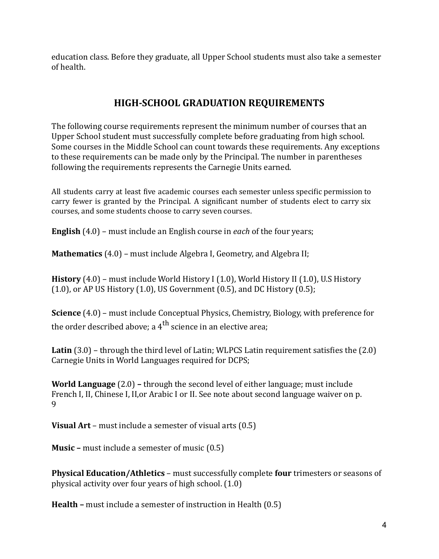education class. Before they graduate, all Upper School students must also take a semester of health.

## **HIGH-SCHOOL GRADUATION REQUIREMENTS**

The following course requirements represent the minimum number of courses that an Upper School student must successfully complete before graduating from high school. Some courses in the Middle School can count towards these requirements. Any exceptions to these requirements can be made only by the Principal. The number in parentheses following the requirements represents the Carnegie Units earned.

All students carry at least five academic courses each semester unless specific permission to carry fewer is granted by the Principal. A significant number of students elect to carry six courses, and some students choose to carry seven courses.

**English** (4.0) – must include an English course in each of the four years;

**Mathematics** (4.0) – must include Algebra I, Geometry, and Algebra II;

**History** (4.0) – must include World History I (1.0), World History II (1.0), U.S History  $(1.0)$ , or AP US History  $(1.0)$ , US Government  $(0.5)$ , and DC History  $(0.5)$ ;

**Science** (4.0) – must include Conceptual Physics, Chemistry, Biology, with preference for the order described above; a  $4<sup>th</sup>$  science in an elective area;

**Latin** (3.0) – through the third level of Latin; WLPCS Latin requirement satisfies the (2.0) Carnegie Units in World Languages required for DCPS;

**World Language** (2.0) – through the second level of either language; must include French I, II, Chinese I, II, or Arabic I or II. See note about second language waiver on p. 9

**Visual Art** – must include a semester of visual arts (0.5)

**Music** – must include a semester of music (0.5)

**Physical Education/Athletics** – must successfully complete **four** trimesters or seasons of physical activity over four years of high school.  $(1.0)$ 

**Health** – must include a semester of instruction in Health (0.5)